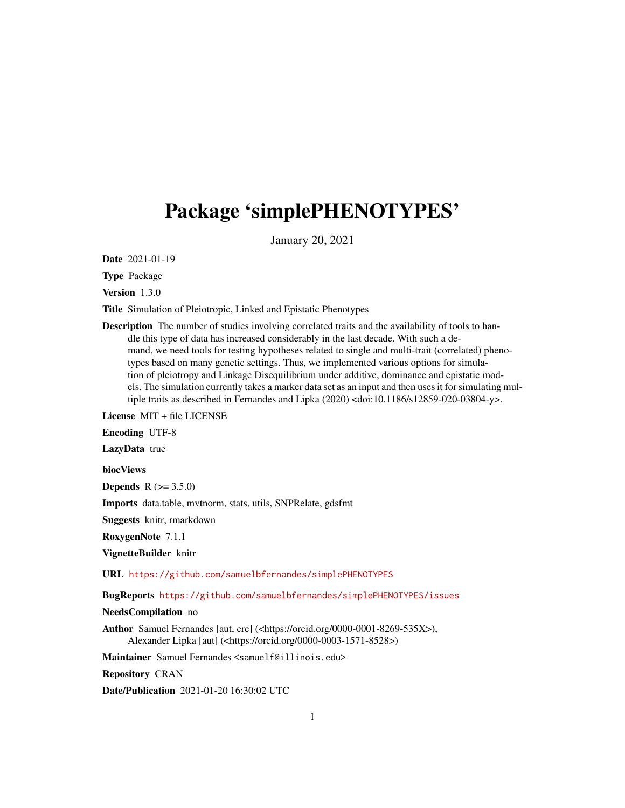## Package 'simplePHENOTYPES'

January 20, 2021

Date 2021-01-19

Type Package

Version 1.3.0

Title Simulation of Pleiotropic, Linked and Epistatic Phenotypes

Description The number of studies involving correlated traits and the availability of tools to handle this type of data has increased considerably in the last decade. With such a demand, we need tools for testing hypotheses related to single and multi-trait (correlated) phenotypes based on many genetic settings. Thus, we implemented various options for simulation of pleiotropy and Linkage Disequilibrium under additive, dominance and epistatic models. The simulation currently takes a marker data set as an input and then uses it for simulating multiple traits as described in Fernandes and Lipka (2020) <doi:10.1186/s12859-020-03804-y>.

License MIT + file LICENSE

Encoding UTF-8

LazyData true

biocViews

**Depends** R  $(>= 3.5.0)$ 

Imports data.table, mvtnorm, stats, utils, SNPRelate, gdsfmt

Suggests knitr, rmarkdown

RoxygenNote 7.1.1

VignetteBuilder knitr

URL <https://github.com/samuelbfernandes/simplePHENOTYPES>

BugReports <https://github.com/samuelbfernandes/simplePHENOTYPES/issues>

NeedsCompilation no

Author Samuel Fernandes [aut, cre] (<https://orcid.org/0000-0001-8269-535X>), Alexander Lipka [aut] (<https://orcid.org/0000-0003-1571-8528>)

Maintainer Samuel Fernandes <samuelf@illinois.edu>

Repository CRAN

Date/Publication 2021-01-20 16:30:02 UTC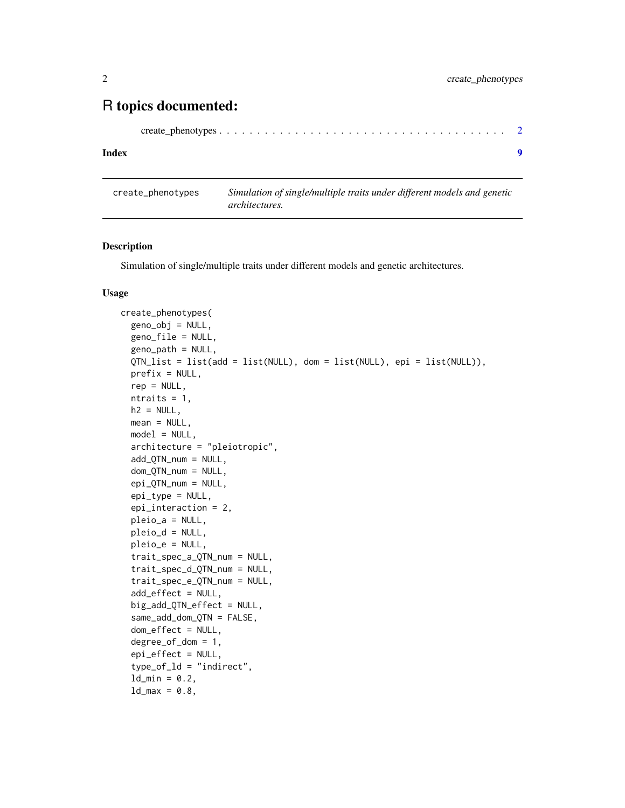### <span id="page-1-0"></span>R topics documented:

|--|--|--|--|--|--|--|--|--|--|--|--|--|--|--|--|--|--|--|--|--|--|--|--|--|--|--|--|--|--|--|--|--|--|--|--|

#### **Index** [9](#page-8-0)

create\_phenotypes *Simulation of single/multiple traits under different models and genetic architectures.*

#### Description

Simulation of single/multiple traits under different models and genetic architectures.

#### Usage

```
create_phenotypes(
  geno_obj = NULL,
  geno_file = NULL,
  geno-path = NULL,
  QTN_list = list(add = list(NULL), dom = list(NULL), epi = list(NULL)),
  prefix = NULL,rep = NULL,
  ntraits = 1,
  h2 = NULL,mean = NULL,
  model = NULL,architecture = "pleiotropic",
  add_QTN_num = NULL,
  dom_QTN_num = NULL,
  epi_QTN_num = NULL,
  epi_type = NULL,
  epi_interaction = 2,
  pleio_a = NULL,
  pleio_d = NULL,
  pleio_e = NULL,
  trait_spec_a_QTN_num = NULL,
  trait_spec_d_QTN_num = NULL,
  trait_spec_e_QTN_num = NULL,
  add_effect = NULL,
  big_add_QTN_effect = NULL,
  same_add_dom_QTN = FALSE,
  dom_effect = NULL,
  degree_of_dom = 1,
  epi_effect = NULL,
  type_of_ld = "indirect",
  ld_{min} = 0.2,
  ld_{max} = 0.8,
```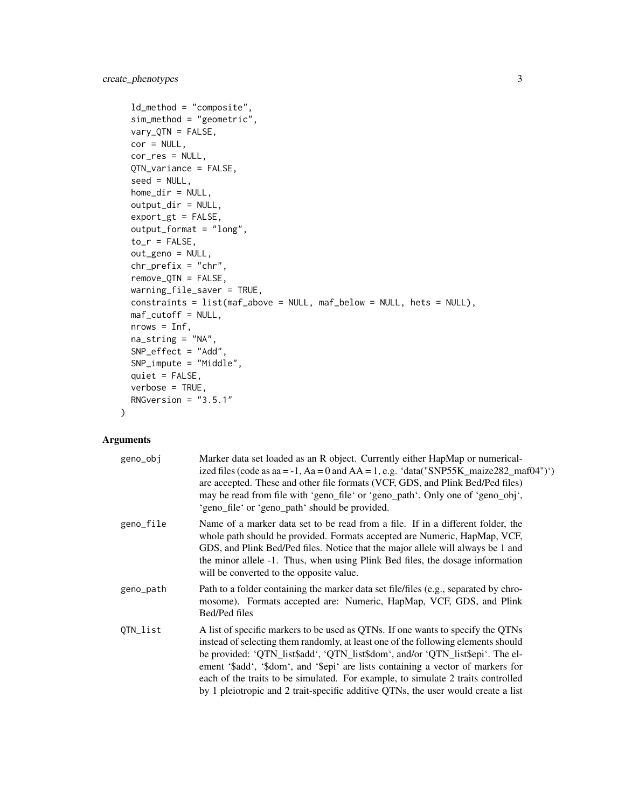```
ld_method = "composite",
sim_method = "geometric",
vary_QTN = FALSE,
cor = NULL,
cor_res = NULL,
QTN_variance = FALSE,
seed = NULL,
home_dir = NULL,
output_dir = NULL,
export_gt = FALSE,
output_format = "long",
to_r = FALSE,
out_geno = NULL,
chr_prefix = "chr",
remove_QTN = FALSE,
warning_file_saver = TRUE,
constraints = list(maf_above = NULL, maf_below = NULL, hets = NULL),
maf_cutoff = NULL,
nrows = Inf,na\_string = "NA",SNP_effect = "Add",
SNP_impute = "Middle",
quiet = FALSE,
verbose = TRUE,
RNGversion = "3.5.1"
```
#### Arguments

 $\mathcal{L}$ 

| geno_obj  | Marker data set loaded as an R object. Currently either HapMap or numerical-<br>ized files (code as aa = -1, Aa = 0 and AA = 1, e.g. 'data("SNP55K_maize282_maf04")')<br>are accepted. These and other file formats (VCF, GDS, and Plink Bed/Ped files)<br>may be read from file with 'geno_file' or 'geno_path'. Only one of 'geno_obj',<br>'geno_file' or 'geno_path' should be provided.                                                                                                                         |
|-----------|---------------------------------------------------------------------------------------------------------------------------------------------------------------------------------------------------------------------------------------------------------------------------------------------------------------------------------------------------------------------------------------------------------------------------------------------------------------------------------------------------------------------|
| geno_file | Name of a marker data set to be read from a file. If in a different folder, the<br>whole path should be provided. Formats accepted are Numeric, HapMap, VCF,<br>GDS, and Plink Bed/Ped files. Notice that the major allele will always be 1 and<br>the minor allele -1. Thus, when using Plink Bed files, the dosage information<br>will be converted to the opposite value.                                                                                                                                        |
| geno_path | Path to a folder containing the marker data set file/files (e.g., separated by chro-<br>mosome). Formats accepted are: Numeric, HapMap, VCF, GDS, and Plink<br>Bed/Ped files                                                                                                                                                                                                                                                                                                                                        |
| QTN_list  | A list of specific markers to be used as QTNs. If one wants to specify the QTNs<br>instead of selecting them randomly, at least one of the following elements should<br>be provided: 'QTN_list\$add', 'QTN_list\$dom', and/or 'QTN_list\$epi'. The el-<br>ement '\$add', '\$dom', and '\$epi' are lists containing a vector of markers for<br>each of the traits to be simulated. For example, to simulate 2 traits controlled<br>by 1 pleiotropic and 2 trait-specific additive QTNs, the user would create a list |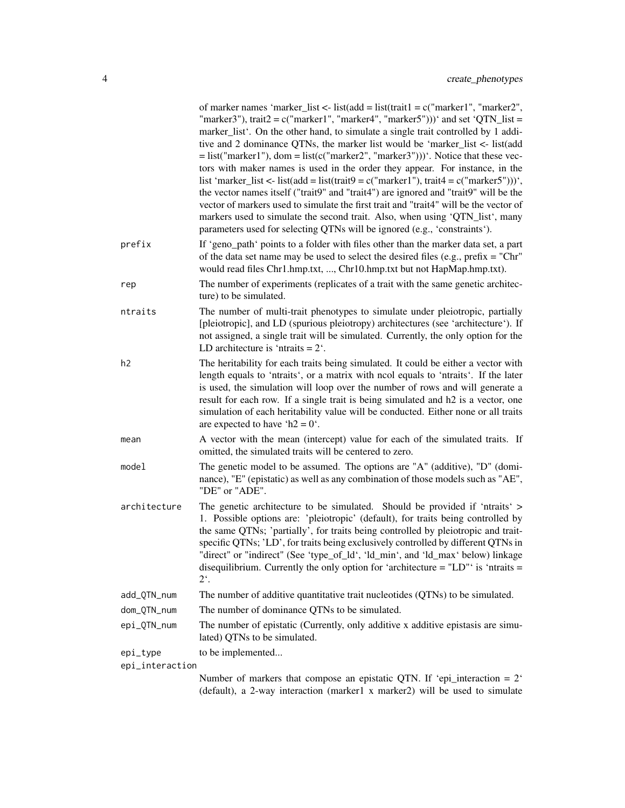|                 | of marker names 'marker_list <- list(add = list(trait1 = $c("marker1", "marker2",$<br>"marker3"), trait $2 = c("market1", "market4", "market5"))$ and set 'QTN_list =<br>marker_list'. On the other hand, to simulate a single trait controlled by 1 addi-<br>tive and 2 dominance QTNs, the marker list would be 'marker_list <- list(add<br>$=$ list("marker1"), dom $=$ list(c("marker2", "marker3")))'. Notice that these vec-<br>tors with maker names is used in the order they appear. For instance, in the<br>list 'marker_list <- list(add = list(trait9 = c("marker1"), trait4 = c("marker5")))',<br>the vector names itself ("trait9" and "trait4") are ignored and "trait9" will be the<br>vector of markers used to simulate the first trait and "trait4" will be the vector of<br>markers used to simulate the second trait. Also, when using 'QTN_list', many<br>parameters used for selecting QTNs will be ignored (e.g., 'constraints'). |
|-----------------|-----------------------------------------------------------------------------------------------------------------------------------------------------------------------------------------------------------------------------------------------------------------------------------------------------------------------------------------------------------------------------------------------------------------------------------------------------------------------------------------------------------------------------------------------------------------------------------------------------------------------------------------------------------------------------------------------------------------------------------------------------------------------------------------------------------------------------------------------------------------------------------------------------------------------------------------------------------|
| prefix          | If 'geno_path' points to a folder with files other than the marker data set, a part<br>of the data set name may be used to select the desired files (e.g., prefix = "Chr"<br>would read files Chr1.hmp.txt, , Chr10.hmp.txt but not HapMap.hmp.txt).                                                                                                                                                                                                                                                                                                                                                                                                                                                                                                                                                                                                                                                                                                      |
| rep             | The number of experiments (replicates of a trait with the same genetic architec-<br>ture) to be simulated.                                                                                                                                                                                                                                                                                                                                                                                                                                                                                                                                                                                                                                                                                                                                                                                                                                                |
| ntraits         | The number of multi-trait phenotypes to simulate under pleiotropic, partially<br>[pleiotropic], and LD (spurious pleiotropy) architectures (see 'architecture'). If<br>not assigned, a single trait will be simulated. Currently, the only option for the<br>LD architecture is 'ntraits $= 2$ '.                                                                                                                                                                                                                                                                                                                                                                                                                                                                                                                                                                                                                                                         |
| h <sub>2</sub>  | The heritability for each traits being simulated. It could be either a vector with<br>length equals to 'ntraits', or a matrix with ncol equals to 'ntraits'. If the later<br>is used, the simulation will loop over the number of rows and will generate a<br>result for each row. If a single trait is being simulated and h2 is a vector, one<br>simulation of each heritability value will be conducted. Either none or all traits<br>are expected to have 'h2 = $0'$ .                                                                                                                                                                                                                                                                                                                                                                                                                                                                                |
| mean            | A vector with the mean (intercept) value for each of the simulated traits. If<br>omitted, the simulated traits will be centered to zero.                                                                                                                                                                                                                                                                                                                                                                                                                                                                                                                                                                                                                                                                                                                                                                                                                  |
| model           | The genetic model to be assumed. The options are "A" (additive), "D" (domi-<br>nance), "E" (epistatic) as well as any combination of those models such as "AE",<br>"DE" or "ADE".                                                                                                                                                                                                                                                                                                                                                                                                                                                                                                                                                                                                                                                                                                                                                                         |
| architecture    | The genetic architecture to be simulated. Should be provided if 'ntraits' ><br>1. Possible options are: 'pleiotropic' (default), for traits being controlled by<br>the same QTNs; 'partially', for traits being controlled by pleiotropic and trait-<br>specific QTNs; 'LD', for traits being exclusively controlled by different QTNs in<br>"direct" or "indirect" (See 'type_of_ld', 'ld_min', and 'ld_max' below) linkage<br>disequilibrium. Currently the only option for 'architecture = $"LD"$ ' is 'ntraits =<br>$2^{\epsilon}$ .                                                                                                                                                                                                                                                                                                                                                                                                                  |
| add_QTN_num     | The number of additive quantitative trait nucleotides (QTNs) to be simulated.                                                                                                                                                                                                                                                                                                                                                                                                                                                                                                                                                                                                                                                                                                                                                                                                                                                                             |
| dom_QTN_num     | The number of dominance QTNs to be simulated.                                                                                                                                                                                                                                                                                                                                                                                                                                                                                                                                                                                                                                                                                                                                                                                                                                                                                                             |
| epi_QTN_num     | The number of epistatic (Currently, only additive x additive epistasis are simu-<br>lated) QTNs to be simulated.                                                                                                                                                                                                                                                                                                                                                                                                                                                                                                                                                                                                                                                                                                                                                                                                                                          |
| epi_type        | to be implemented                                                                                                                                                                                                                                                                                                                                                                                                                                                                                                                                                                                                                                                                                                                                                                                                                                                                                                                                         |
| epi_interaction |                                                                                                                                                                                                                                                                                                                                                                                                                                                                                                                                                                                                                                                                                                                                                                                                                                                                                                                                                           |
|                 | Number of markers that compose an epistatic QTN. If 'epi_interaction = $2'$ '<br>(default), a 2-way interaction (marker1 x marker2) will be used to simulate                                                                                                                                                                                                                                                                                                                                                                                                                                                                                                                                                                                                                                                                                                                                                                                              |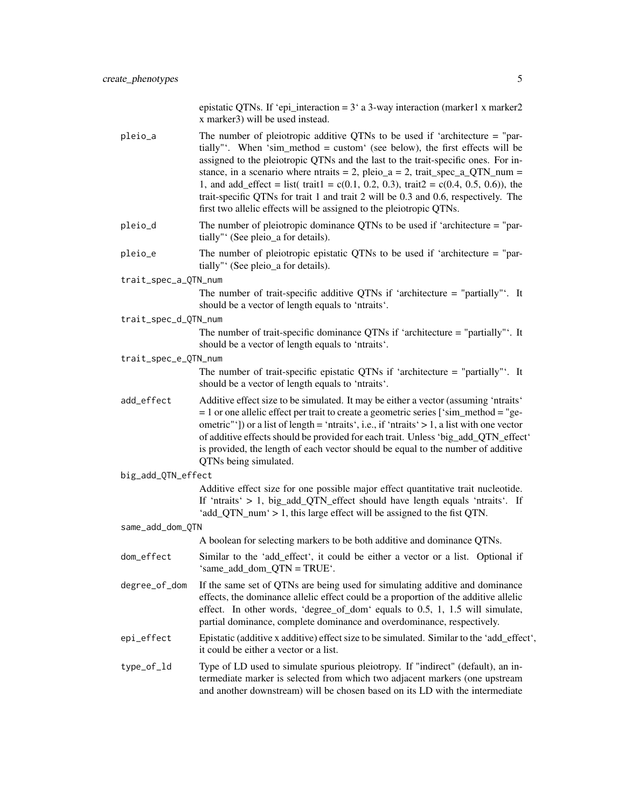epistatic QTNs. If 'epi\_interaction = 3' a 3-way interaction (marker1 x marker2 x marker3) will be used instead.

| pleio_a              | The number of pleiotropic additive QTNs to be used if 'architecture $=$ "par-<br>tially"'. When 'sim_method = custom' (see below), the first effects will be<br>assigned to the pleiotropic QTNs and the last to the trait-specific ones. For in-<br>stance, in a scenario where ntraits = 2, pleio_a = 2, trait_spec_a_QTN_num =<br>1, and add_effect = list( trait1 = c(0.1, 0.2, 0.3), trait2 = c(0.4, 0.5, 0.6)), the<br>trait-specific QTNs for trait 1 and trait 2 will be 0.3 and 0.6, respectively. The<br>first two allelic effects will be assigned to the pleiotropic QTNs. |
|----------------------|----------------------------------------------------------------------------------------------------------------------------------------------------------------------------------------------------------------------------------------------------------------------------------------------------------------------------------------------------------------------------------------------------------------------------------------------------------------------------------------------------------------------------------------------------------------------------------------|
| pleio_d              | The number of pleiotropic dominance QTNs to be used if 'architecture $=$ "par-<br>tially"' (See pleio_a for details).                                                                                                                                                                                                                                                                                                                                                                                                                                                                  |
| pleio_e              | The number of pleiotropic epistatic QTNs to be used if 'architecture $=$ "par-<br>tially" (See pleio_a for details).                                                                                                                                                                                                                                                                                                                                                                                                                                                                   |
| trait_spec_a_QTN_num |                                                                                                                                                                                                                                                                                                                                                                                                                                                                                                                                                                                        |
|                      | The number of trait-specific additive QTNs if 'architecture $=$ "partially". It<br>should be a vector of length equals to 'ntraits'.                                                                                                                                                                                                                                                                                                                                                                                                                                                   |
| trait_spec_d_QTN_num |                                                                                                                                                                                                                                                                                                                                                                                                                                                                                                                                                                                        |
|                      | The number of trait-specific dominance QTNs if 'architecture = "partially". It<br>should be a vector of length equals to 'ntraits'.                                                                                                                                                                                                                                                                                                                                                                                                                                                    |
| trait_spec_e_QTN_num |                                                                                                                                                                                                                                                                                                                                                                                                                                                                                                                                                                                        |
|                      | The number of trait-specific epistatic QTNs if 'architecture $=$ "partially". It<br>should be a vector of length equals to 'ntraits'.                                                                                                                                                                                                                                                                                                                                                                                                                                                  |
| add_effect           | Additive effect size to be simulated. It may be either a vector (assuming 'ntraits'<br>$= 1$ or one allelic effect per trait to create a geometric series ['sim_method = "ge-<br>ometric"']) or a list of length = 'ntraits', i.e., if 'ntraits' > 1, a list with one vector<br>of additive effects should be provided for each trait. Unless 'big_add_QTN_effect'<br>is provided, the length of each vector should be equal to the number of additive<br>QTNs being simulated.                                                                                                        |
| big_add_QTN_effect   |                                                                                                                                                                                                                                                                                                                                                                                                                                                                                                                                                                                        |
|                      | Additive effect size for one possible major effect quantitative trait nucleotide.<br>If 'ntraits' > 1, big_add_QTN_effect should have length equals 'ntraits'. If<br>'add_QTN_num' > 1, this large effect will be assigned to the fist QTN.                                                                                                                                                                                                                                                                                                                                            |
| same_add_dom_QTN     |                                                                                                                                                                                                                                                                                                                                                                                                                                                                                                                                                                                        |
|                      | A boolean for selecting markers to be both additive and dominance QTNs.                                                                                                                                                                                                                                                                                                                                                                                                                                                                                                                |
| dom_effect           | Similar to the 'add_effect', it could be either a vector or a list. Optional if<br>'same_add_dom_QTN = TRUE'.                                                                                                                                                                                                                                                                                                                                                                                                                                                                          |
| degree_of_dom        | If the same set of QTNs are being used for simulating additive and dominance<br>effects, the dominance allelic effect could be a proportion of the additive allelic<br>effect. In other words, 'degree_of_dom' equals to 0.5, 1, 1.5 will simulate,<br>partial dominance, complete dominance and overdominance, respectively.                                                                                                                                                                                                                                                          |
| epi_effect           | Epistatic (additive x additive) effect size to be simulated. Similar to the 'add_effect',<br>it could be either a vector or a list.                                                                                                                                                                                                                                                                                                                                                                                                                                                    |
| type_of_ld           | Type of LD used to simulate spurious pleiotropy. If "indirect" (default), an in-<br>termediate marker is selected from which two adjacent markers (one upstream                                                                                                                                                                                                                                                                                                                                                                                                                        |

and another downstream) will be chosen based on its LD with the intermediate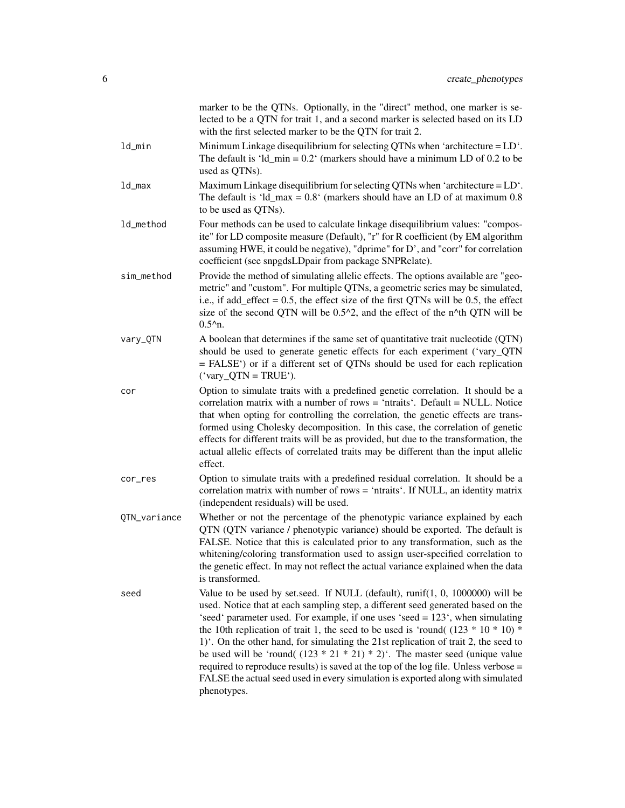|              | marker to be the QTNs. Optionally, in the "direct" method, one marker is se-<br>lected to be a QTN for trait 1, and a second marker is selected based on its LD<br>with the first selected marker to be the QTN for trait 2.                                                                                                                                                                                                                                                                                                                                                                                                                                                                                 |
|--------------|--------------------------------------------------------------------------------------------------------------------------------------------------------------------------------------------------------------------------------------------------------------------------------------------------------------------------------------------------------------------------------------------------------------------------------------------------------------------------------------------------------------------------------------------------------------------------------------------------------------------------------------------------------------------------------------------------------------|
| ld_min       | Minimum Linkage disequilibrium for selecting QTNs when 'architecture $=$ LD $\dot{\ }$ .<br>The default is 'ld_min = $0.2$ ' (markers should have a minimum LD of 0.2 to be<br>used as QTNs).                                                                                                                                                                                                                                                                                                                                                                                                                                                                                                                |
| ld_max       | Maximum Linkage disequilibrium for selecting QTNs when 'architecture $=$ LD $\dot{\ }$ .<br>The default is 'ld_max = $0.8$ ' (markers should have an LD of at maximum 0.8)<br>to be used as QTNs).                                                                                                                                                                                                                                                                                                                                                                                                                                                                                                           |
| ld_method    | Four methods can be used to calculate linkage disequilibrium values: "compos-<br>ite" for LD composite measure (Default), "r" for R coefficient (by EM algorithm<br>assuming HWE, it could be negative), "dprime" for D', and "corr" for correlation<br>coefficient (see snpgdsLDpair from package SNPRelate).                                                                                                                                                                                                                                                                                                                                                                                               |
| sim_method   | Provide the method of simulating allelic effects. The options available are "geo-<br>metric" and "custom". For multiple QTNs, a geometric series may be simulated,<br>i.e., if add_effect = $0.5$ , the effect size of the first QTNs will be 0.5, the effect<br>size of the second QTN will be 0.5^2, and the effect of the n^th QTN will be<br>$0.52$ n.                                                                                                                                                                                                                                                                                                                                                   |
| vary_QTN     | A boolean that determines if the same set of quantitative trait nucleotide (QTN)<br>should be used to generate genetic effects for each experiment ('vary_QTN<br>= FALSE') or if a different set of QTNs should be used for each replication<br>$('vary_QTN = TRUE').$                                                                                                                                                                                                                                                                                                                                                                                                                                       |
| cor          | Option to simulate traits with a predefined genetic correlation. It should be a<br>correlation matrix with a number of rows = 'ntraits'. Default = NULL. Notice<br>that when opting for controlling the correlation, the genetic effects are trans-<br>formed using Cholesky decomposition. In this case, the correlation of genetic<br>effects for different traits will be as provided, but due to the transformation, the<br>actual allelic effects of correlated traits may be different than the input allelic<br>effect.                                                                                                                                                                               |
| cor_res      | Option to simulate traits with a predefined residual correlation. It should be a<br>correlation matrix with number of rows = 'ntraits'. If NULL, an identity matrix<br>(independent residuals) will be used.                                                                                                                                                                                                                                                                                                                                                                                                                                                                                                 |
| QTN_variance | Whether or not the percentage of the phenotypic variance explained by each<br>QTN (QTN variance / phenotypic variance) should be exported. The default is<br>FALSE. Notice that this is calculated prior to any transformation, such as the<br>whitening/coloring transformation used to assign user-specified correlation to<br>the genetic effect. In may not reflect the actual variance explained when the data<br>is transformed.                                                                                                                                                                                                                                                                       |
| seed         | Value to be used by set.seed. If NULL (default), runif(1, 0, 1000000) will be<br>used. Notice that at each sampling step, a different seed generated based on the<br>'seed' parameter used. For example, if one uses 'seed = 123', when simulating<br>the 10th replication of trait 1, the seed to be used is 'round( $(123 * 10 * 10)$ *<br>1). On the other hand, for simulating the 21st replication of trait 2, the seed to<br>be used will be 'round( $(123 * 21 * 21) * 2$ )'. The master seed (unique value<br>required to reproduce results) is saved at the top of the log file. Unless verbose =<br>FALSE the actual seed used in every simulation is exported along with simulated<br>phenotypes. |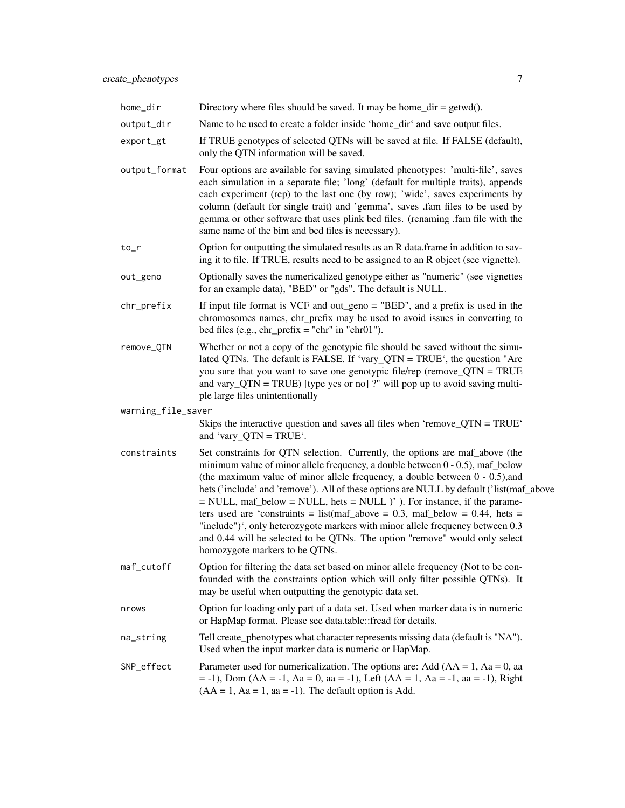- only the QTN information will be saved. output\_format Four options are available for saving simulated phenotypes: 'multi-file', saves each simulation in a separate file; 'long' (default for multiple traits), appends each experiment (rep) to the last one (by row); 'wide', saves experiments by column (default for single trait) and 'gemma', saves .fam files to be used by gemma or other software that uses plink bed files. (renaming .fam file with the
- to\_r Option for outputting the simulated results as an R data.frame in addition to saving it to file. If TRUE, results need to be assigned to an R object (see vignette).

same name of the bim and bed files is necessary).

- out\_geno Optionally saves the numericalized genotype either as "numeric" (see vignettes for an example data), "BED" or "gds". The default is NULL.
- $chr\_prefix$  If input file format is VCF and out\_geno = "BED", and a prefix is used in the chromosomes names, chr\_prefix may be used to avoid issues in converting to bed files (e.g.,  $chr\_prefix = "chr"$  in " $chr01"$ ).
- remove\_QTN Whether or not a copy of the genotypic file should be saved without the simulated QTNs. The default is FALSE. If 'vary\_QTN = TRUE', the question "Are you sure that you want to save one genotypic file/rep (remove\_QTN = TRUE and vary\_QTN = TRUE) [type yes or no] ?" will pop up to avoid saving multiple large files unintentionally

#### warning\_file\_saver

Skips the interactive question and saves all files when 'remove\_QTN = TRUE' and 'vary\_QTN = TRUE'.

- constraints Set constraints for QTN selection. Currently, the options are maf\_above (the minimum value of minor allele frequency, a double between 0 - 0.5), maf\_below (the maximum value of minor allele frequency, a double between 0 - 0.5),and hets ('include' and 'remove'). All of these options are NULL by default ('list(maf\_above = NULL, maf\_below = NULL, hets = NULL )' ). For instance, if the parameters used are 'constraints = list(maf\_above = 0.3, maf\_below = 0.44, hets = "include")', only heterozygote markers with minor allele frequency between 0.3 and 0.44 will be selected to be QTNs. The option "remove" would only select homozygote markers to be QTNs.
- maf\_cutoff Option for filtering the data set based on minor allele frequency (Not to be confounded with the constraints option which will only filter possible QTNs). It may be useful when outputting the genotypic data set.
- nrows Option for loading only part of a data set. Used when marker data is in numeric or HapMap format. Please see data.table::fread for details.
- na\_string Tell create\_phenotypes what character represents missing data (default is "NA"). Used when the input marker data is numeric or HapMap.
- SNP\_effect Parameter used for numericalization. The options are: Add  $(AA = 1, Aa = 0, aa$  $= -1$ ), Dom (AA =  $-1$ , Aa = 0, aa =  $-1$ ), Left (AA = 1, Aa =  $-1$ , aa =  $-1$ ), Right  $(AA = 1, Aa = 1, aa = -1)$ . The default option is Add.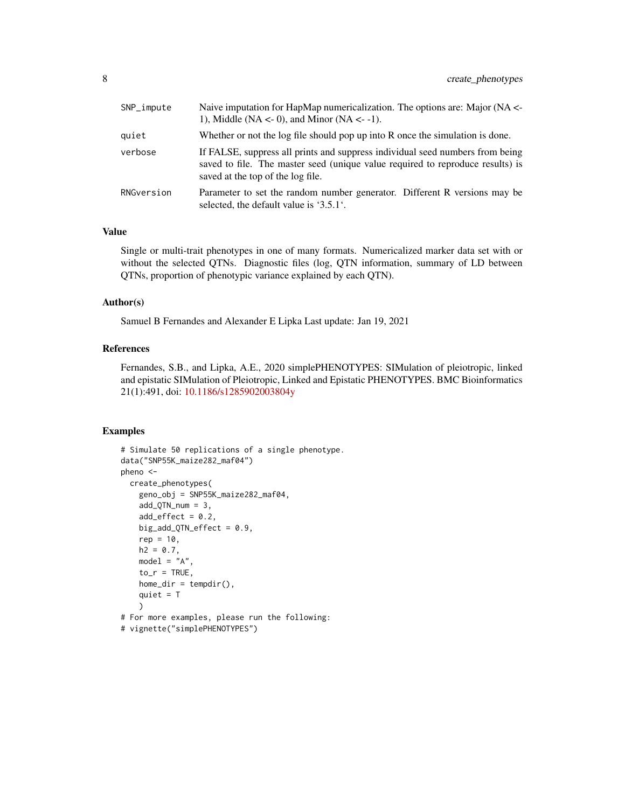| SNP_impute | Naive imputation for HapMap numericalization. The options are: Major (NA <-<br>1), Middle (NA $\lt$ - 0), and Minor (NA $\lt$ - -1).                                                                 |
|------------|------------------------------------------------------------------------------------------------------------------------------------------------------------------------------------------------------|
| quiet      | Whether or not the log file should pop up into R once the simulation is done.                                                                                                                        |
| verbose    | If FALSE, suppress all prints and suppress individual seed numbers from being<br>saved to file. The master seed (unique value required to reproduce results) is<br>saved at the top of the log file. |
| RNGversion | Parameter to set the random number generator. Different R versions may be<br>selected, the default value is '3.5.1'.                                                                                 |

#### Value

Single or multi-trait phenotypes in one of many formats. Numericalized marker data set with or without the selected QTNs. Diagnostic files (log, QTN information, summary of LD between QTNs, proportion of phenotypic variance explained by each QTN).

#### Author(s)

Samuel B Fernandes and Alexander E Lipka Last update: Jan 19, 2021

#### References

Fernandes, S.B., and Lipka, A.E., 2020 simplePHENOTYPES: SIMulation of pleiotropic, linked and epistatic SIMulation of Pleiotropic, Linked and Epistatic PHENOTYPES. BMC Bioinformatics 21(1):491, doi: [10.1186/s1285902003804y](https://doi.org/10.1186/s12859-020-03804-y)

#### Examples

```
# Simulate 50 replications of a single phenotype.
data("SNP55K_maize282_maf04")
pheno <-
  create_phenotypes(
   geno_obj = SNP55K_maize282_maf04,
   add_QTN_num = 3,
    add\_effect = 0.2,big_add_QTN_effect = 0.9,
   rep = 10,h2 = 0.7,
   model = "A",to_r = TRUE,home\_dir = tempdir(),quiet = T
   \lambda# For more examples, please run the following:
# vignette("simplePHENOTYPES")
```